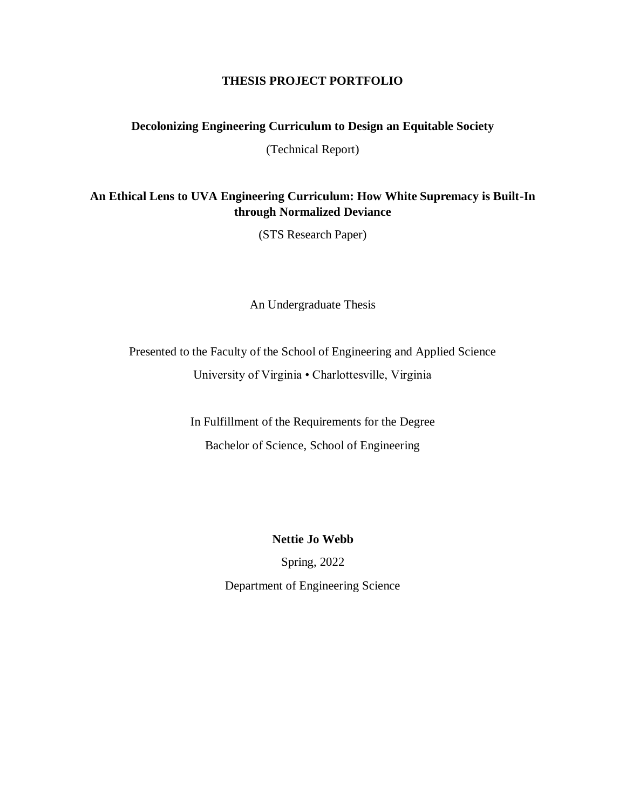#### **THESIS PROJECT PORTFOLIO**

#### **Decolonizing Engineering Curriculum to Design an Equitable Society**

(Technical Report)

# **An Ethical Lens to UVA Engineering Curriculum: How White Supremacy is Built-In through Normalized Deviance**

(STS Research Paper)

An Undergraduate Thesis

Presented to the Faculty of the School of Engineering and Applied Science University of Virginia • Charlottesville, Virginia

> In Fulfillment of the Requirements for the Degree Bachelor of Science, School of Engineering

> > **Nettie Jo Webb**

Spring, 2022

Department of Engineering Science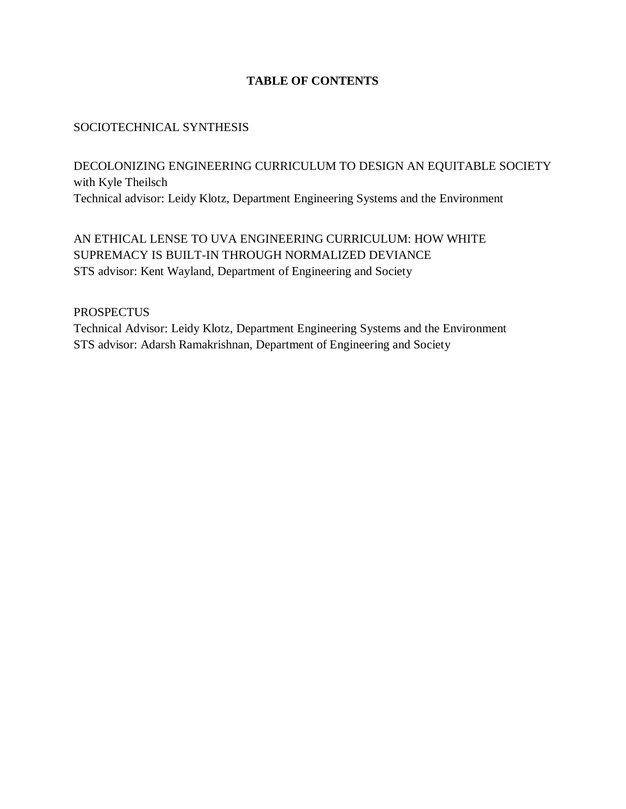## **TABLE OF CONTENTS**

## SOCIOTECHNICAL SYNTHESIS

DECOLONIZING ENGINEERING CURRICULUM TO DESIGN AN EQUITABLE SOCIETY with Kyle Theilsch Technical advisor: Leidy Klotz, Department Engineering Systems and the Environment

AN ETHICAL LENSE TO UVA ENGINEERING CURRICULUM: HOW WHITE SUPREMACY IS BUILT-IN THROUGH NORMALIZED DEVIANCE STS advisor: Kent Wayland, Department of Engineering and Society

**PROSPECTUS** 

Technical Advisor: Leidy Klotz, Department Engineering Systems and the Environment STS advisor: Adarsh Ramakrishnan, Department of Engineering and Society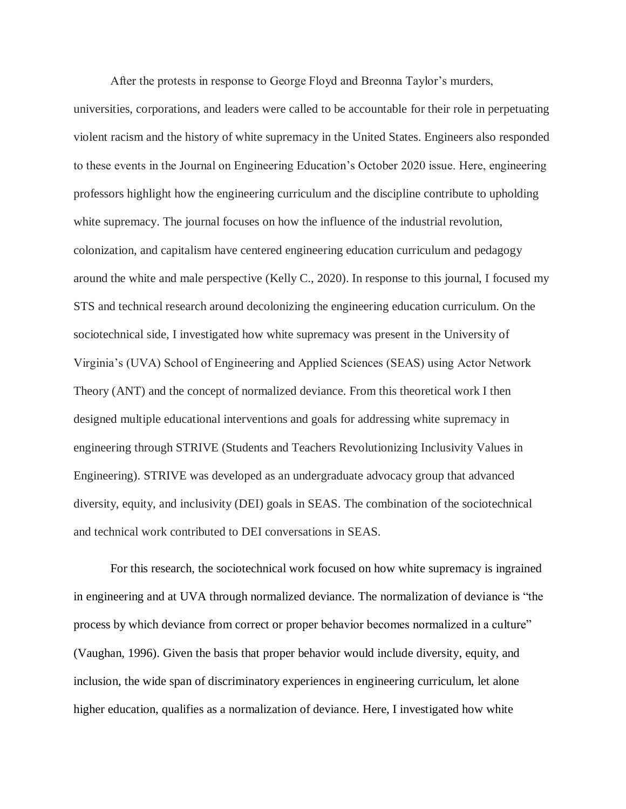After the protests in response to George Floyd and Breonna Taylor's murders,

universities, corporations, and leaders were called to be accountable for their role in perpetuating violent racism and the history of white supremacy in the United States. Engineers also responded to these events in the Journal on Engineering Education's October 2020 issue. Here, engineering professors highlight how the engineering curriculum and the discipline contribute to upholding white supremacy. The journal focuses on how the influence of the industrial revolution, colonization, and capitalism have centered engineering education curriculum and pedagogy around the white and male perspective (Kelly C., 2020). In response to this journal, I focused my STS and technical research around decolonizing the engineering education curriculum. On the sociotechnical side, I investigated how white supremacy was present in the University of Virginia's (UVA) School of Engineering and Applied Sciences (SEAS) using Actor Network Theory (ANT) and the concept of normalized deviance. From this theoretical work I then designed multiple educational interventions and goals for addressing white supremacy in engineering through STRIVE (Students and Teachers Revolutionizing Inclusivity Values in Engineering). STRIVE was developed as an undergraduate advocacy group that advanced diversity, equity, and inclusivity (DEI) goals in SEAS. The combination of the sociotechnical and technical work contributed to DEI conversations in SEAS.

For this research, the sociotechnical work focused on how white supremacy is ingrained in engineering and at UVA through normalized deviance. The normalization of deviance is "the process by which deviance from correct or proper behavior becomes normalized in a culture" (Vaughan, 1996). Given the basis that proper behavior would include diversity, equity, and inclusion, the wide span of discriminatory experiences in engineering curriculum, let alone higher education, qualifies as a normalization of deviance. Here, I investigated how white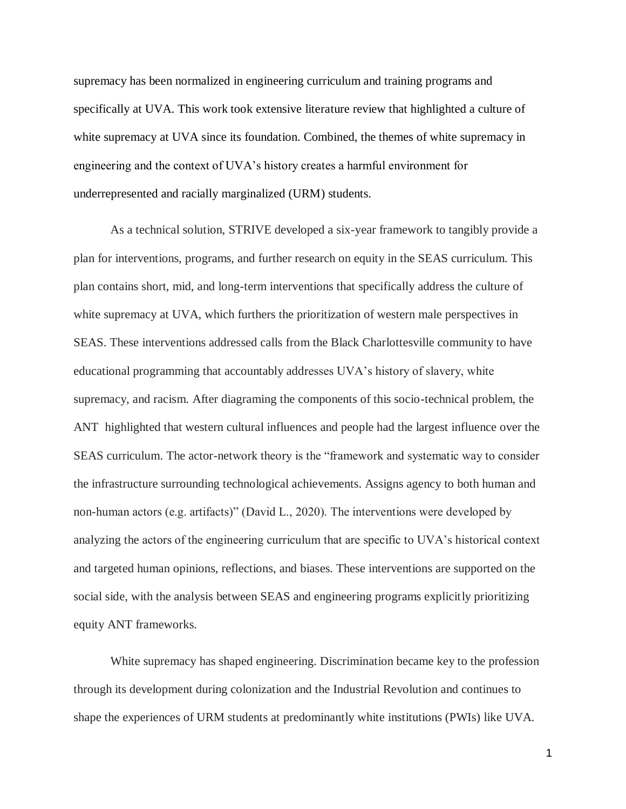supremacy has been normalized in engineering curriculum and training programs and specifically at UVA. This work took extensive literature review that highlighted a culture of white supremacy at UVA since its foundation. Combined, the themes of white supremacy in engineering and the context of UVA's history creates a harmful environment for underrepresented and racially marginalized (URM) students.

As a technical solution, STRIVE developed a six-year framework to tangibly provide a plan for interventions, programs, and further research on equity in the SEAS curriculum. This plan contains short, mid, and long-term interventions that specifically address the culture of white supremacy at UVA, which furthers the prioritization of western male perspectives in SEAS. These interventions addressed calls from the Black Charlottesville community to have educational programming that accountably addresses UVA's history of slavery, white supremacy, and racism. After diagraming the components of this socio-technical problem, the ANT highlighted that western cultural influences and people had the largest influence over the SEAS curriculum. The actor-network theory is the "framework and systematic way to consider the infrastructure surrounding technological achievements. Assigns agency to both human and non-human actors (e.g. artifacts)" (David L., 2020). The interventions were developed by analyzing the actors of the engineering curriculum that are specific to UVA's historical context and targeted human opinions, reflections, and biases. These interventions are supported on the social side, with the analysis between SEAS and engineering programs explicitly prioritizing equity ANT frameworks.

White supremacy has shaped engineering. Discrimination became key to the profession through its development during colonization and the Industrial Revolution and continues to shape the experiences of URM students at predominantly white institutions (PWIs) like UVA.

1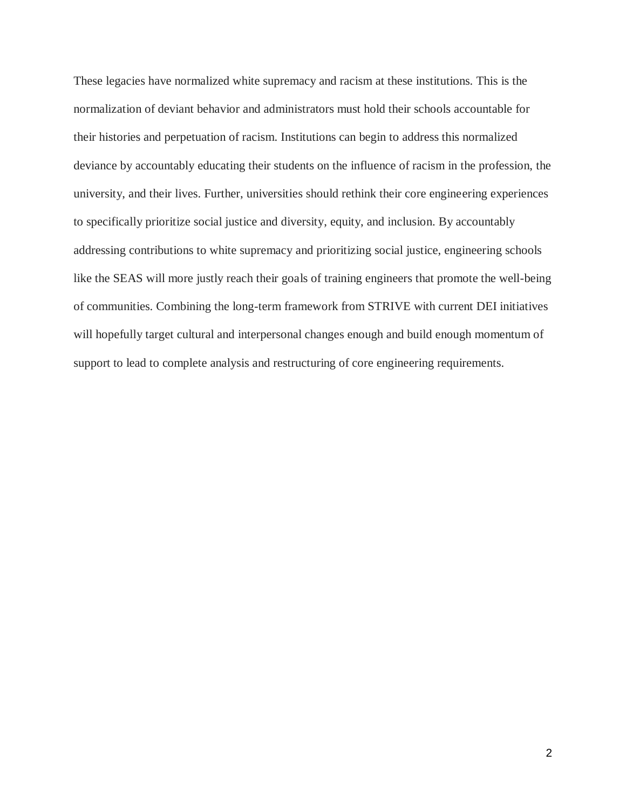These legacies have normalized white supremacy and racism at these institutions. This is the normalization of deviant behavior and administrators must hold their schools accountable for their histories and perpetuation of racism. Institutions can begin to address this normalized deviance by accountably educating their students on the influence of racism in the profession, the university, and their lives. Further, universities should rethink their core engineering experiences to specifically prioritize social justice and diversity, equity, and inclusion. By accountably addressing contributions to white supremacy and prioritizing social justice, engineering schools like the SEAS will more justly reach their goals of training engineers that promote the well-being of communities. Combining the long-term framework from STRIVE with current DEI initiatives will hopefully target cultural and interpersonal changes enough and build enough momentum of support to lead to complete analysis and restructuring of core engineering requirements.